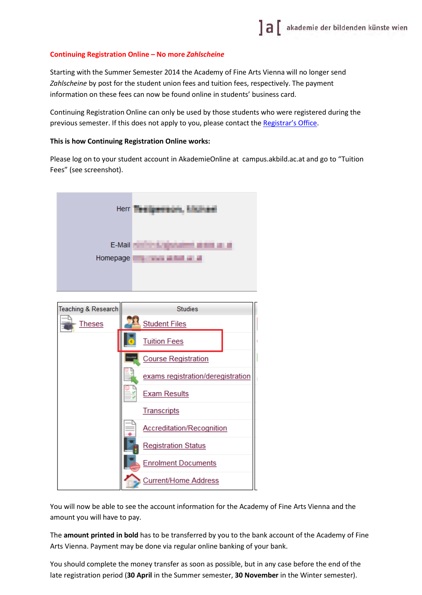## **Continuing Registration Online – No more** *Zahlscheine*

Starting with the Summer Semester 2014 the Academy of Fine Arts Vienna will no longer send *Zahlscheine* by post for the student union fees and tuition fees, respectively. The payment information on these fees can now be found online in students' business card.

Continuing Registration Online can only be used by those students who were registered during the previous semester. If this does not apply to you, please contact the [Registrar's Office.](http://www.akbild.ac.at/portal_en/academyen/about-us/administration/registrars-office/study-department?set_language=en&cl=en)

## **This is how Continuing Registration Online works:**

Please log on to your student account in AkademieOnline at campus.akbild.ac.at and go to "Tuition Fees" (see screenshot).

| Herr               |                                                                       |
|--------------------|-----------------------------------------------------------------------|
| E-Mail<br>Homepage | <b><i><u>Criminations</u></i></b><br>.<br>.<br>г<br><b>STATISTICS</b> |
|                    |                                                                       |



You will now be able to see the account information for the Academy of Fine Arts Vienna and the amount you will have to pay.

The **amount printed in bold** has to be transferred by you to the bank account of the Academy of Fine Arts Vienna. Payment may be done via regular online banking of your bank.

You should complete the money transfer as soon as possible, but in any case before the end of the late registration period (**30 April** in the Summer semester, **30 November** in the Winter semester).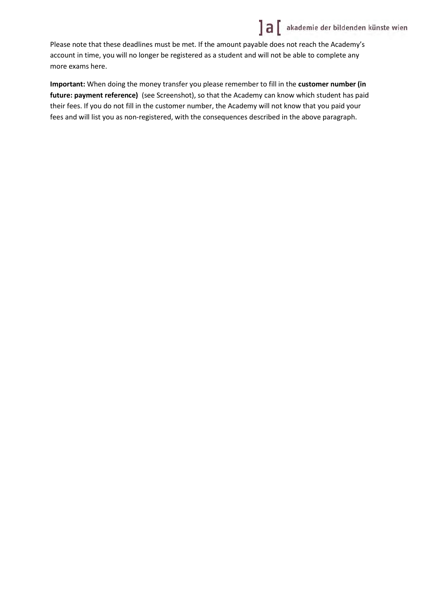

Please note that these deadlines must be met. If the amount payable does not reach the Academy's account in time, you will no longer be registered as a student and will not be able to complete any more exams here.

**Important:** When doing the money transfer you please remember to fill in the **customer number (in future: payment reference)** (see Screenshot), so that the Academy can know which student has paid their fees. If you do not fill in the customer number, the Academy will not know that you paid your fees and will list you as non-registered, with the consequences described in the above paragraph.